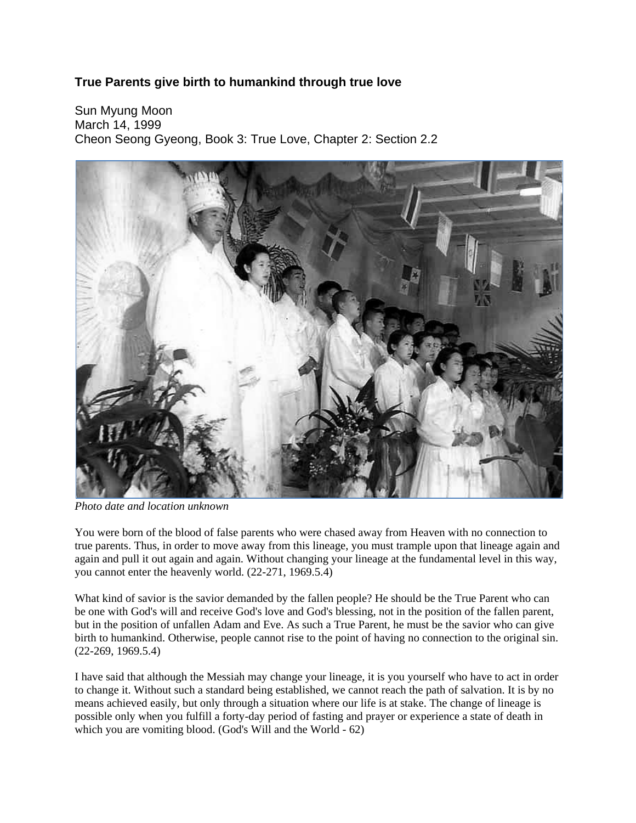## **True Parents give birth to humankind through true love**

Sun Myung Moon March 14, 1999 Cheon Seong Gyeong, Book 3: True Love, Chapter 2: Section 2.2



*Photo date and location unknown*

You were born of the blood of false parents who were chased away from Heaven with no connection to true parents. Thus, in order to move away from this lineage, you must trample upon that lineage again and again and pull it out again and again. Without changing your lineage at the fundamental level in this way, you cannot enter the heavenly world. (22-271, 1969.5.4)

What kind of savior is the savior demanded by the fallen people? He should be the True Parent who can be one with God's will and receive God's love and God's blessing, not in the position of the fallen parent, but in the position of unfallen Adam and Eve. As such a True Parent, he must be the savior who can give birth to humankind. Otherwise, people cannot rise to the point of having no connection to the original sin. (22-269, 1969.5.4)

I have said that although the Messiah may change your lineage, it is you yourself who have to act in order to change it. Without such a standard being established, we cannot reach the path of salvation. It is by no means achieved easily, but only through a situation where our life is at stake. The change of lineage is possible only when you fulfill a forty-day period of fasting and prayer or experience a state of death in which you are vomiting blood. (God's Will and the World - 62)